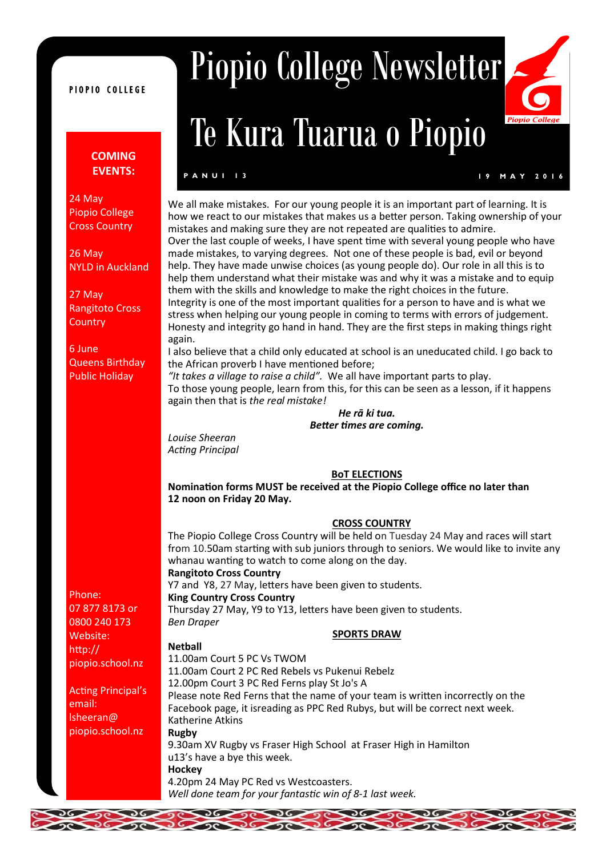#### PIOPIO COLLEGE

## **COMING EVENTS:**

24 May Piopio College Cross Country

26 May NYLD in Auckland

27 May Rangitoto Cross **Country** 

6 June Queens Birthday Public Holiday

Phone: 07 877 8173 or 0800 240 173 Website: http:// piopio.school.nz

Acting Principal's email: lsheeran@ piopio.school.nz

 $\frac{1}{26}$ 

# Piopio College Newsletter

## Te Kura Tuarua o Piopio

#### **P A N U I 13**

Piopi

We all make mistakes. For our young people it is an important part of learning. It is how we react to our mistakes that makes us a better person. Taking ownership of your mistakes and making sure they are not repeated are qualities to admire. Over the last couple of weeks, I have spent time with several young people who have made mistakes, to varying degrees. Not one of these people is bad, evil or beyond help. They have made unwise choices (as young people do). Our role in all this is to help them understand what their mistake was and why it was a mistake and to equip them with the skills and knowledge to make the right choices in the future. Integrity is one of the most important qualities for a person to have and is what we stress when helping our young people in coming to terms with errors of judgement. Honesty and integrity go hand in hand. They are the first steps in making things right

again. I also believe that a child only educated at school is an uneducated child. I go back to

the African proverb I have mentioned before; *"It takes a village to raise a child".* We all have important parts to play.

To those young people, learn from this, for this can be seen as a lesson, if it happens again then that is *the real mistake!*

> *He rā ki tua. Better times are coming.*

*Louise Sheeran Acting Principal*

### **BoT ELECTIONS**

**Nomination forms MUST be received at the Piopio College office no later than 12 noon on Friday 20 May.**

#### **CROSS COUNTRY**

The Piopio College Cross Country will be held on Tuesday 24 May and races will start from 10.50am starting with sub juniors through to seniors. We would like to invite any whanau wanting to watch to come along on the day.

## **Rangitoto Cross Country**

DE DE DE DE DE

Y7 and Y8, 27 May, letters have been given to students. **King Country Cross Country**

Thursday 27 May, Y9 to Y13, letters have been given to students. *Ben Draper*

#### **SPORTS DRAW**

 $\sum_{i=1}^{n}$ 

**Netball** 11.00am Court 5 PC Vs TWOM 11.00am Court 2 PC Red Rebels vs Pukenui Rebelz 12.00pm Court 3 PC Red Ferns play St Jo's A Please note Red Ferns that the name of your team is written incorrectly on the Facebook page, it isreading as PPC Red Rubys, but will be correct next week. Katherine Atkins **Rugby** 9.30am XV Rugby vs Fraser High School at Fraser High in Hamilton u13's have a bye this week. **Hockey** 4.20pm 24 May PC Red vs Westcoasters. *Well done team for your fantastic win of 8-1 last week.*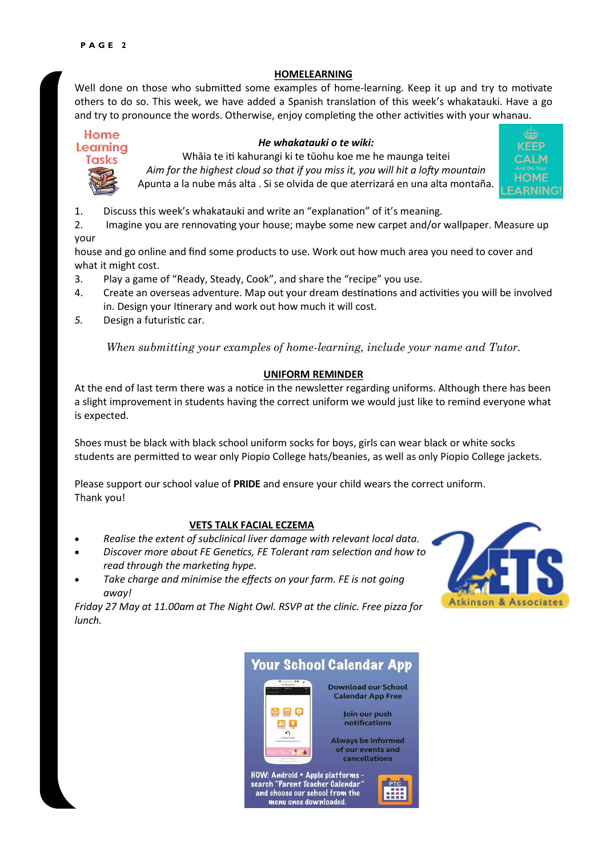## **HOMELEARNING**

Well done on those who submitted some examples of home-learning. Keep it up and try to motivate others to do so. This week, we have added a Spanish translation of this week's whakatauki. Have a go and try to pronounce the words. Otherwise, enjoy completing the other activities with your whanau.

## Home



### *He whakatauki o te wiki:*

Whāia te iti kahurangi ki te tūohu koe me he maunga teitei *Aim for the highest cloud so that if you miss it, you will hit a lofty mountain* Apunta a la nube más alta . Si se olvida de que aterrizará en una alta montaña.



1. Discuss this week's whakatauki and write an "explanation" of it's meaning.

2. Imagine you are rennovating your house; maybe some new carpet and/or wallpaper. Measure up your

house and go online and find some products to use. Work out how much area you need to cover and what it might cost.

- 3. Play a game of "Ready, Steady, Cook", and share the "recipe" you use.
- 4. Create an overseas adventure. Map out your dream destinations and activities you will be involved in. Design your Itinerary and work out how much it will cost.
- *5.* Design a futuristic car.

*When submitting your examples of home-learning, include your name and Tutor.* 

## **UNIFORM REMINDER**

At the end of last term there was a notice in the newsletter regarding uniforms. Although there has been a slight improvement in students having the correct uniform we would just like to remind everyone what is expected.

Shoes must be black with black school uniform socks for boys, girls can wear black or white socks students are permitted to wear only Piopio College hats/beanies, as well as only Piopio College jackets.

Please support our school value of **PRIDE** and ensure your child wears the correct uniform. Thank you!

### **VETS TALK FACIAL ECZEMA**

- *Realise the extent of subclinical liver damage with relevant local data.*
- *Discover more about FE Genetics, FE Tolerant ram selection and how to read through the marketing hype.*
- *Take charge and minimise the effects on your farm. FE is not going away!*

*Friday 27 May at 11.00am at The Night Owl. RSVP at the clinic. Free pizza for lunch.*